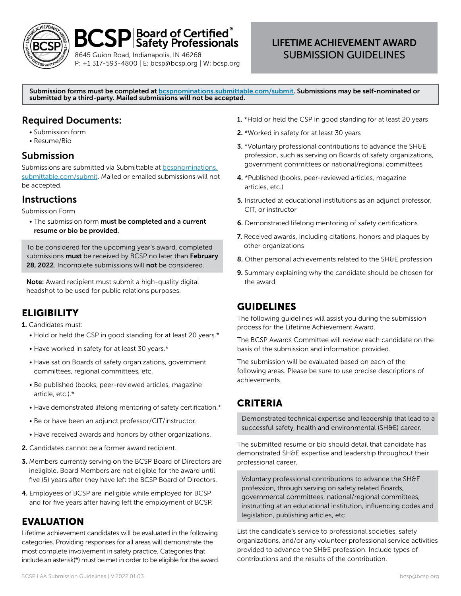

# $BCSP$  Soard of Certified $\degree$

8645 Guion Road, Indianapolis, IN 46268 P: +1 317-593-4800 | E: bcsp@bcsp.org | W: bcsp.org

## LIFETIME ACHIEVEMENT AWARD SUBMISSION GUIDELINES

Submission forms must be completed at **bespnominations.submittable.com/submit**. Submissions may be self-nominated or submitted by a third-party. Mailed submissions will not be accepted.

### Required Documents:

- Submission form
- Resume/Bio

#### Submission

Submissions are submitted via Submittable at [bcspnominations.](http://bcspnominations.submittable.com/submit) [submittable.com/submit.](http://bcspnominations.submittable.com/submit) Mailed or emailed submissions will not be accepted.

#### **Instructions**

Submission Form

• The submission form must be completed and a current resume or bio be provided.

To be considered for the upcoming year's award, completed submissions must be received by BCSP no later than February 28, 2022. Incomplete submissions will not be considered.

Note: Award recipient must submit a high-quality digital headshot to be used for public relations purposes.

## **ELIGIBILITY**

1. Candidates must:

- Hold or held the CSP in good standing for at least 20 years.\*
- Have worked in safety for at least 30 years.\*
- Have sat on Boards of safety organizations, government committees, regional committees, etc.
- Be published (books, peer-reviewed articles, magazine article, etc.).\*
- Have demonstrated lifelong mentoring of safety certification.\*
- Be or have been an adjunct professor/CIT/instructor.
- Have received awards and honors by other organizations.
- 2. Candidates cannot be a former award recipient.
- 3. Members currently serving on the BCSP Board of Directors are ineligible. Board Members are not eligible for the award until five (5) years after they have left the BCSP Board of Directors.
- 4. Employees of BCSP are ineligible while employed for BCSP and for five years after having left the employment of BCSP.

## EVALUATION

Lifetime achievement candidates will be evaluated in the following categories. Providing responses for all areas will demonstrate the most complete involvement in safety practice. Categories that include an asterisk(\*) must be met in order to be eligible for the award.

- 1. \*Hold or held the CSP in good standing for at least 20 years
- 2. \*Worked in safety for at least 30 years
- 3. \*Voluntary professional contributions to advance the SH&E profession, such as serving on Boards of safety organizations, government committees or national/regional committees
- 4. \*Published (books, peer-reviewed articles, magazine articles, etc.)
- 5. Instructed at educational institutions as an adjunct professor, CIT, or instructor
- 6. Demonstrated lifelong mentoring of safety certifications
- 7. Received awards, including citations, honors and plaques by other organizations
- 8. Other personal achievements related to the SH&E profession
- 9. Summary explaining why the candidate should be chosen for the award

#### GUIDELINES

The following guidelines will assist you during the submission process for the Lifetime Achievement Award.

The BCSP Awards Committee will review each candidate on the basis of the submission and information provided.

The submission will be evaluated based on each of the following areas. Please be sure to use precise descriptions of achievements.

#### **CRITERIA**

Demonstrated technical expertise and leadership that lead to a successful safety, health and environmental (SH&E) career.

The submitted resume or bio should detail that candidate has demonstrated SH&E expertise and leadership throughout their professional career.

Voluntary professional contributions to advance the SH&E profession, through serving on safety related Boards, governmental committees, national/regional committees, instructing at an educational institution, influencing codes and legislation, publishing articles, etc.

List the candidate's service to professional societies, safety organizations, and/or any volunteer professional service activities provided to advance the SH&E profession. Include types of contributions and the results of the contribution.